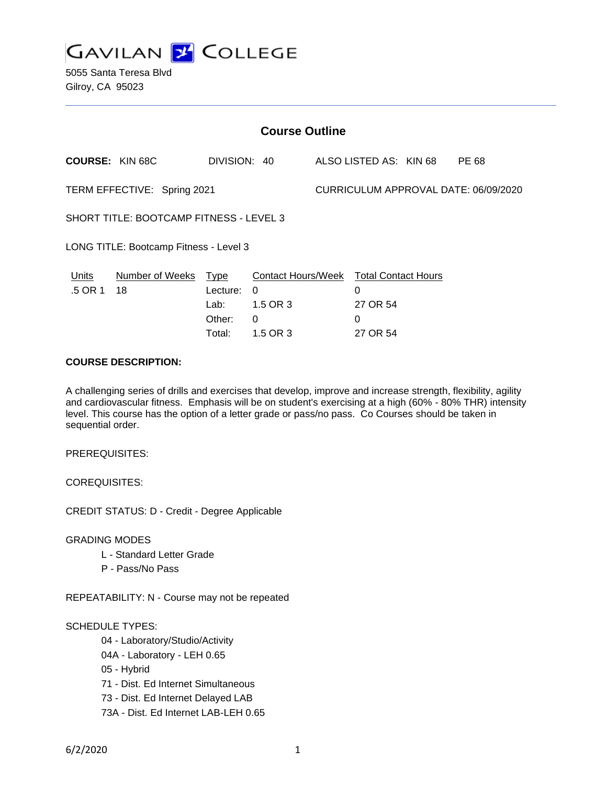

5055 Santa Teresa Blvd Gilroy, CA 95023

| <b>Course Outline</b>                   |                      |              |                                        |                                      |                        |  |       |
|-----------------------------------------|----------------------|--------------|----------------------------------------|--------------------------------------|------------------------|--|-------|
| <b>COURSE: KIN 68C</b>                  |                      | DIVISION: 40 |                                        |                                      | ALSO LISTED AS: KIN 68 |  | PE 68 |
| TERM EFFECTIVE: Spring 2021             |                      |              |                                        | CURRICULUM APPROVAL DATE: 06/09/2020 |                        |  |       |
| SHORT TITLE: BOOTCAMP FITNESS - LEVEL 3 |                      |              |                                        |                                      |                        |  |       |
| LONG TITLE: Bootcamp Fitness - Level 3  |                      |              |                                        |                                      |                        |  |       |
| Units                                   | Number of Weeks Type |              | Contact Hours/Week Total Contact Hours |                                      |                        |  |       |
| .5 OR 1                                 | 18                   | Lecture:     | $\Omega$                               |                                      | $\Omega$               |  |       |
|                                         |                      | Lab:         | 1.5 OR 3                               |                                      | 27 OR 54               |  |       |
|                                         |                      | Other:       | 0                                      |                                      | 0                      |  |       |
|                                         |                      | Total:       | 1.5 OR 3                               |                                      | 27 OR 54               |  |       |

## **COURSE DESCRIPTION:**

A challenging series of drills and exercises that develop, improve and increase strength, flexibility, agility and cardiovascular fitness. Emphasis will be on student's exercising at a high (60% - 80% THR) intensity level. This course has the option of a letter grade or pass/no pass. Co Courses should be taken in sequential order.

PREREQUISITES:

COREQUISITES:

CREDIT STATUS: D - Credit - Degree Applicable

GRADING MODES

- L Standard Letter Grade
- P Pass/No Pass

REPEATABILITY: N - Course may not be repeated

#### SCHEDULE TYPES:

- 04 Laboratory/Studio/Activity
- 04A Laboratory LEH 0.65
- 05 Hybrid
- 71 Dist. Ed Internet Simultaneous
- 73 Dist. Ed Internet Delayed LAB
- 73A Dist. Ed Internet LAB-LEH 0.65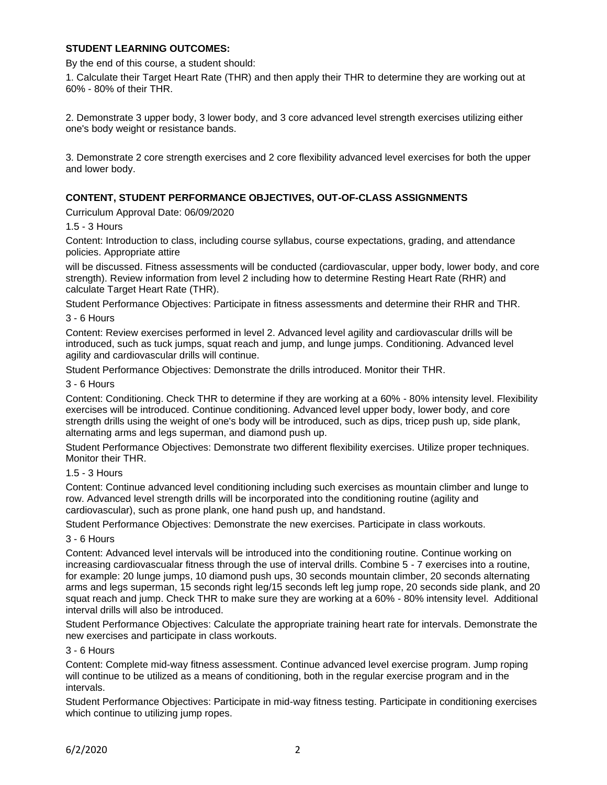## **STUDENT LEARNING OUTCOMES:**

By the end of this course, a student should:

1. Calculate their Target Heart Rate (THR) and then apply their THR to determine they are working out at 60% - 80% of their THR.

2. Demonstrate 3 upper body, 3 lower body, and 3 core advanced level strength exercises utilizing either one's body weight or resistance bands.

3. Demonstrate 2 core strength exercises and 2 core flexibility advanced level exercises for both the upper and lower body.

### **CONTENT, STUDENT PERFORMANCE OBJECTIVES, OUT-OF-CLASS ASSIGNMENTS**

Curriculum Approval Date: 06/09/2020

#### 1.5 - 3 Hours

Content: Introduction to class, including course syllabus, course expectations, grading, and attendance policies. Appropriate attire

will be discussed. Fitness assessments will be conducted (cardiovascular, upper body, lower body, and core strength). Review information from level 2 including how to determine Resting Heart Rate (RHR) and calculate Target Heart Rate (THR).

Student Performance Objectives: Participate in fitness assessments and determine their RHR and THR.

#### 3 - 6 Hours

Content: Review exercises performed in level 2. Advanced level agility and cardiovascular drills will be introduced, such as tuck jumps, squat reach and jump, and lunge jumps. Conditioning. Advanced level agility and cardiovascular drills will continue.

Student Performance Objectives: Demonstrate the drills introduced. Monitor their THR.

#### 3 - 6 Hours

Content: Conditioning. Check THR to determine if they are working at a 60% - 80% intensity level. Flexibility exercises will be introduced. Continue conditioning. Advanced level upper body, lower body, and core strength drills using the weight of one's body will be introduced, such as dips, tricep push up, side plank, alternating arms and legs superman, and diamond push up.

Student Performance Objectives: Demonstrate two different flexibility exercises. Utilize proper techniques. Monitor their THR.

#### 1.5 - 3 Hours

Content: Continue advanced level conditioning including such exercises as mountain climber and lunge to row. Advanced level strength drills will be incorporated into the conditioning routine (agility and cardiovascular), such as prone plank, one hand push up, and handstand.

Student Performance Objectives: Demonstrate the new exercises. Participate in class workouts.

#### 3 - 6 Hours

Content: Advanced level intervals will be introduced into the conditioning routine. Continue working on increasing cardiovascualar fitness through the use of interval drills. Combine 5 - 7 exercises into a routine, for example: 20 lunge jumps, 10 diamond push ups, 30 seconds mountain climber, 20 seconds alternating arms and legs superman, 15 seconds right leg/15 seconds left leg jump rope, 20 seconds side plank, and 20 squat reach and jump. Check THR to make sure they are working at a 60% - 80% intensity level. Additional interval drills will also be introduced.

Student Performance Objectives: Calculate the appropriate training heart rate for intervals. Demonstrate the new exercises and participate in class workouts.

#### 3 - 6 Hours

Content: Complete mid-way fitness assessment. Continue advanced level exercise program. Jump roping will continue to be utilized as a means of conditioning, both in the regular exercise program and in the intervals.

Student Performance Objectives: Participate in mid-way fitness testing. Participate in conditioning exercises which continue to utilizing jump ropes.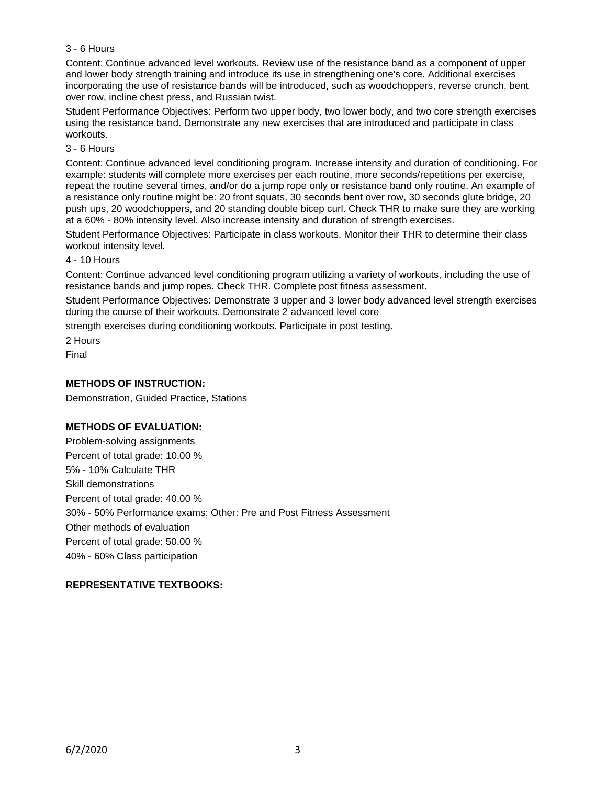## 3 - 6 Hours

Content: Continue advanced level workouts. Review use of the resistance band as a component of upper and lower body strength training and introduce its use in strengthening one's core. Additional exercises incorporating the use of resistance bands will be introduced, such as woodchoppers, reverse crunch, bent over row, incline chest press, and Russian twist.

Student Performance Objectives: Perform two upper body, two lower body, and two core strength exercises using the resistance band. Demonstrate any new exercises that are introduced and participate in class workouts.

### 3 - 6 Hours

Content: Continue advanced level conditioning program. Increase intensity and duration of conditioning. For example: students will complete more exercises per each routine, more seconds/repetitions per exercise, repeat the routine several times, and/or do a jump rope only or resistance band only routine. An example of a resistance only routine might be: 20 front squats, 30 seconds bent over row, 30 seconds glute bridge, 20 push ups, 20 woodchoppers, and 20 standing double bicep curl. Check THR to make sure they are working at a 60% - 80% intensity level. Also increase intensity and duration of strength exercises.

Student Performance Objectives: Participate in class workouts. Monitor their THR to determine their class workout intensity level.

### 4 - 10 Hours

Content: Continue advanced level conditioning program utilizing a variety of workouts, including the use of resistance bands and jump ropes. Check THR. Complete post fitness assessment.

Student Performance Objectives: Demonstrate 3 upper and 3 lower body advanced level strength exercises during the course of their workouts. Demonstrate 2 advanced level core

strength exercises during conditioning workouts. Participate in post testing.

2 Hours Final

## **METHODS OF INSTRUCTION:**

Demonstration, Guided Practice, Stations

## **METHODS OF EVALUATION:**

Problem-solving assignments Percent of total grade: 10.00 % 5% - 10% Calculate THR Skill demonstrations Percent of total grade: 40.00 % 30% - 50% Performance exams; Other: Pre and Post Fitness Assessment Other methods of evaluation Percent of total grade: 50.00 % 40% - 60% Class participation

## **REPRESENTATIVE TEXTBOOKS:**